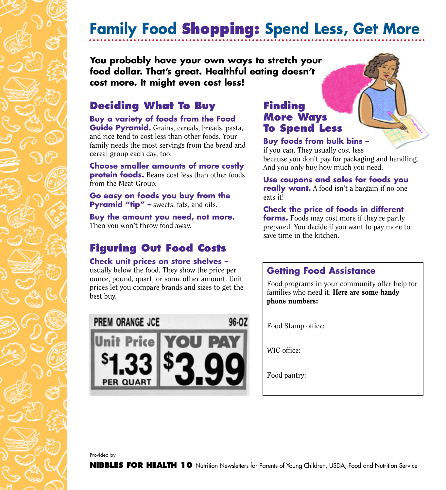# **Family Food Shopping: Spend Less, Get More**

#### **You probably have your own ways to stretch your food dollar. That's great. Healthful eating doesn't cost more. It might even cost less!**

## **Deciding What To Buy**

**Buy a variety of foods from the Food Guide Pyramid.** Grains, cereals, breads, pasta, and rice tend to cost less than other foods. Your family needs the most servings from the bread and cereal group each day, too.

**Choose smaller amounts of more costly protein foods.** Beans cost less than other foods from the Meat Group.

**Go easy on foods you buy from the Pyramid "tip" –** sweets, fats, and oils.

**Buy the amount you need, not more.** Then you won't throw food away.

## **Figuring Out Food Costs**

#### **Check unit prices on store shelves –**

usually below the food. They show the price per ounce, pound, quart, or some other amount. Unit prices let you compare brands and sizes to get the best buy.



### **Finding More Ways To Spend Less**

#### **Buy foods from bulk bins –**

if you can. They usually cost less because you don't pay for packaging and handling. And you only buy how much you need.

**Use coupons and sales for foods you really want.** A food isn't a bargain if no one eats it!

#### **Check the price of foods in different**

**forms.** Foods may cost more if they're partly prepared. You decide if you want to pay more to save time in the kitchen.

### **Getting Food Assistance**

Food programs in your community offer help for families who need it. Here are some handy phone numbers:

Food Stamp office:

WIC office:

Food pantry:

Provided by